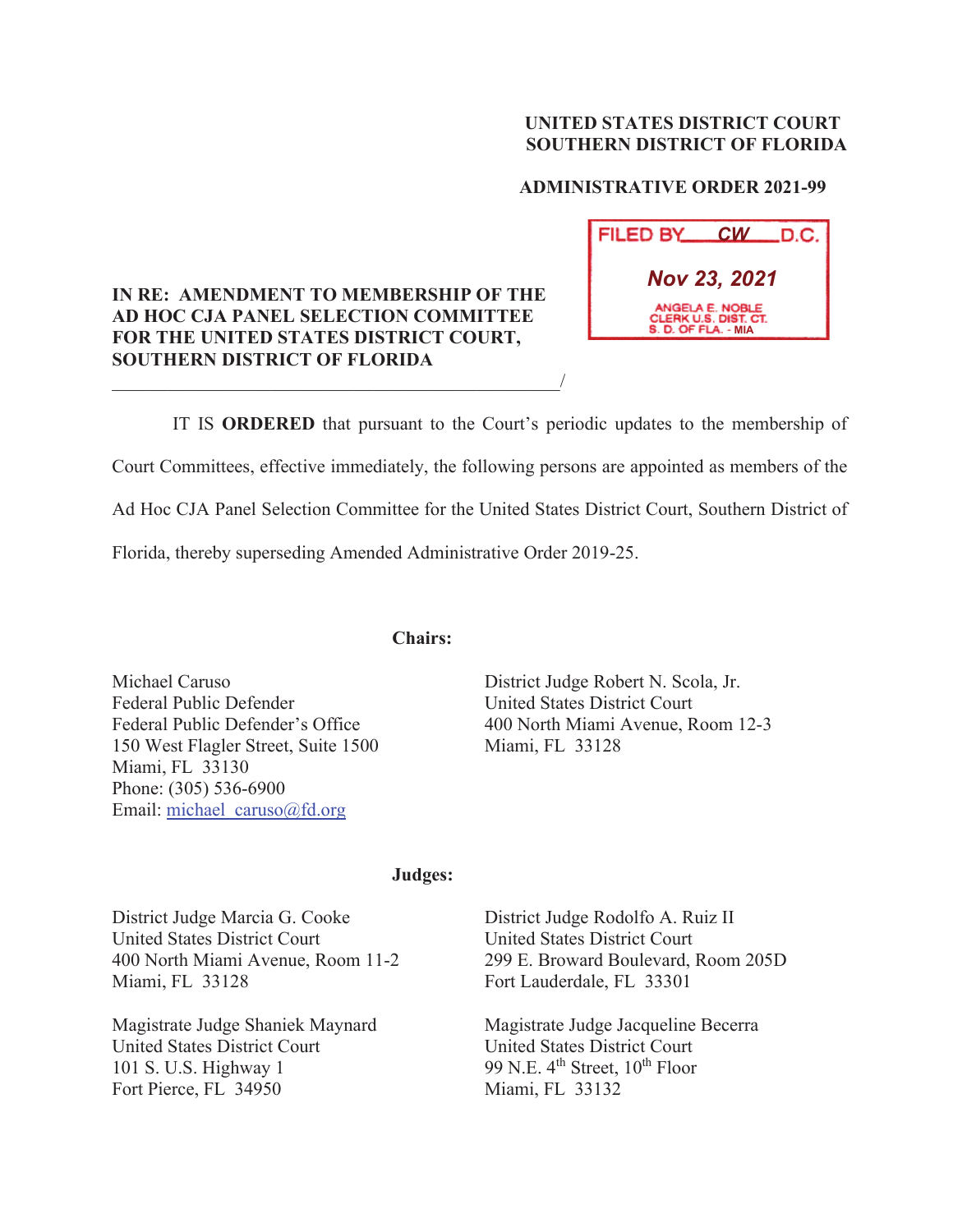### **UNITED STATES DISTRICT COURT SOUTHERN DISTRICT OF FLORIDA**

## **ADMINISTRATIVE ORDER 2021-99**

# **FILED BY CW D.C.** *Nov 23, 2021* **CLERK U.S. DIST. C.<br>S. D. OF FLA. - MIA**

 IT IS **ORDERED** that pursuant to the Court's periodic updates to the membership of Court Committees, effective immediately, the following persons are appointed as members of the Ad Hoc CJA Panel Selection Committee for the United States District Court, Southern District of Florida, thereby superseding Amended Administrative Order 2019-25.

**Chairs:** 

**IN RE: AMENDMENT TO MEMBERSHIP OF THE AD HOC CJA PANEL SELECTION COMMITTEE FOR THE UNITED STATES DISTRICT COURT,** 

 $\overline{\phantom{a}}$ 

**SOUTHERN DISTRICT OF FLORIDA** 

Michael Caruso Federal Public Defender Federal Public Defender's Office 150 West Flagler Street, Suite 1500 Miami, FL 33130 Phone: (305) 536-6900 Email: michael\_caruso@fd.org

District Judge Robert N. Scola, Jr. United States District Court 400 North Miami Avenue, Room 12-3 Miami, FL 33128

#### **Judges:**

District Judge Marcia G. Cooke United States District Court 400 North Miami Avenue, Room 11-2 Miami, FL 33128

Magistrate Judge Shaniek Maynard United States District Court 101 S. U.S. Highway 1 Fort Pierce, FL 34950

District Judge Rodolfo A. Ruiz II United States District Court 299 E. Broward Boulevard, Room 205D Fort Lauderdale, FL 33301

Magistrate Judge Jacqueline Becerra United States District Court 99 N.E.  $4<sup>th</sup>$  Street,  $10<sup>th</sup>$  Floor Miami, FL 33132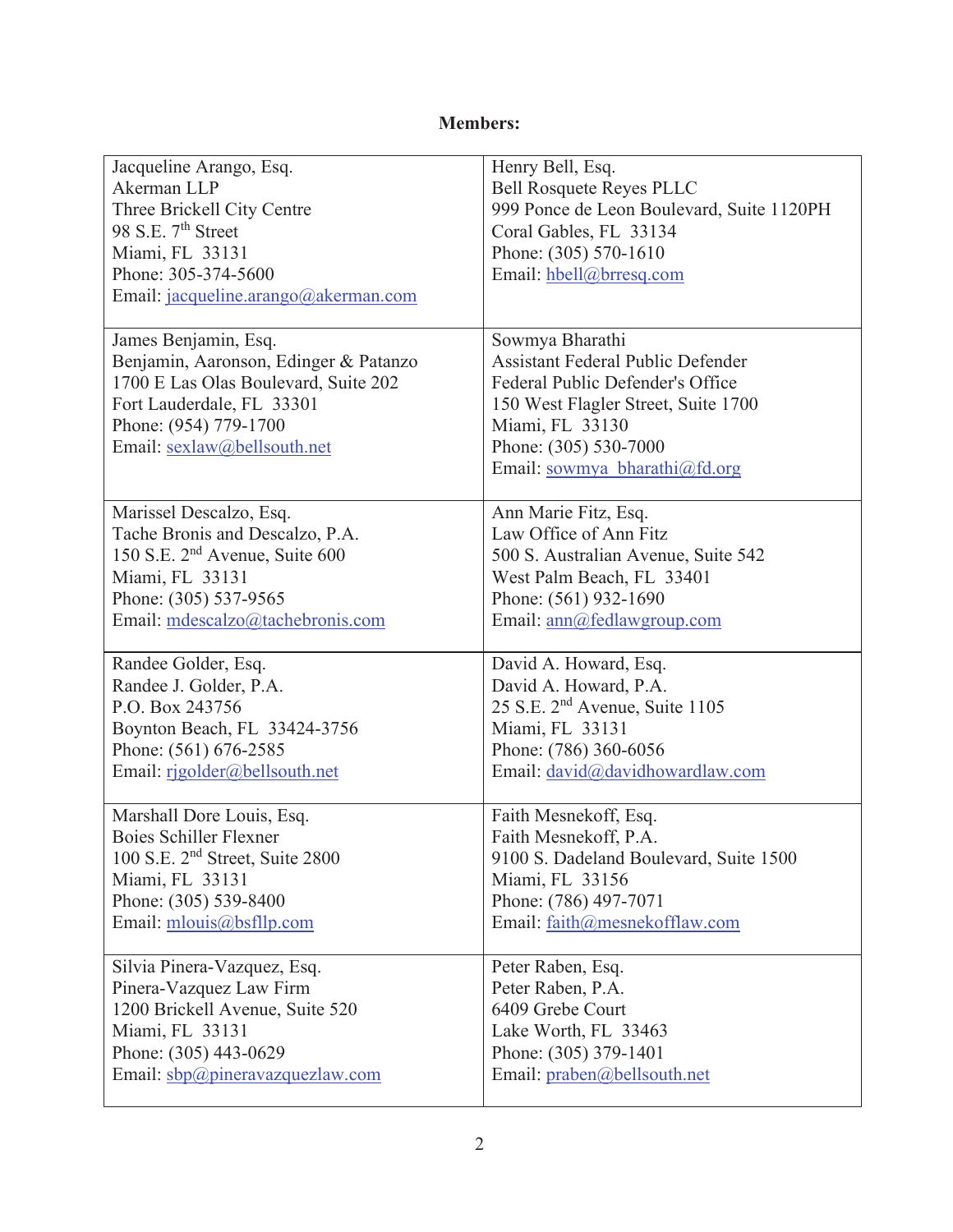# **Members:**

| Jacqueline Arango, Esq.                     | Henry Bell, Esq.                           |
|---------------------------------------------|--------------------------------------------|
| Akerman LLP                                 | <b>Bell Rosquete Reyes PLLC</b>            |
| Three Brickell City Centre                  | 999 Ponce de Leon Boulevard, Suite 1120PH  |
| 98 S.E. 7 <sup>th</sup> Street              | Coral Gables, FL 33134                     |
| Miami, FL 33131                             | Phone: (305) 570-1610                      |
| Phone: 305-374-5600                         | Email: hbell@brresq.com                    |
| Email: jacqueline.arango@akerman.com        |                                            |
|                                             |                                            |
| James Benjamin, Esq.                        | Sowmya Bharathi                            |
| Benjamin, Aaronson, Edinger & Patanzo       | <b>Assistant Federal Public Defender</b>   |
| 1700 E Las Olas Boulevard, Suite 202        | Federal Public Defender's Office           |
| Fort Lauderdale, FL 33301                   | 150 West Flagler Street, Suite 1700        |
| Phone: (954) 779-1700                       | Miami, FL 33130                            |
| Email: sexlaw@bellsouth.net                 | Phone: (305) 530-7000                      |
|                                             | Email: sowmya bharathi@fd.org              |
|                                             |                                            |
| Marissel Descalzo, Esq.                     | Ann Marie Fitz, Esq.                       |
| Tache Bronis and Descalzo, P.A.             | Law Office of Ann Fitz                     |
| 150 S.E. 2 <sup>nd</sup> Avenue, Suite 600  | 500 S. Australian Avenue, Suite 542        |
| Miami, FL 33131                             | West Palm Beach, FL 33401                  |
| Phone: (305) 537-9565                       | Phone: (561) 932-1690                      |
| Email: mdescalzo@tachebronis.com            | Email: ann@fedlawgroup.com                 |
| Randee Golder, Esq.                         | David A. Howard, Esq.                      |
| Randee J. Golder, P.A.                      | David A. Howard, P.A.                      |
| P.O. Box 243756                             | 25 S.E. 2 <sup>nd</sup> Avenue, Suite 1105 |
| Boynton Beach, FL 33424-3756                | Miami, FL 33131                            |
| Phone: (561) 676-2585                       | Phone: (786) 360-6056                      |
| Email: rigolder@bellsouth.net               | Email: david@davidhowardlaw.com            |
|                                             |                                            |
| Marshall Dore Louis, Esq.                   | Faith Mesnekoff, Esq.                      |
| <b>Boies Schiller Flexner</b>               | Faith Mesnekoff, P.A.                      |
| 100 S.E. 2 <sup>nd</sup> Street, Suite 2800 | 9100 S. Dadeland Boulevard, Suite 1500     |
| Miami, FL 33131                             | Miami, FL 33156                            |
| Phone: (305) 539-8400                       | Phone: (786) 497-7071                      |
| Email: mlouis@bsfllp.com                    | Email: faith@mesnekofflaw.com              |
|                                             |                                            |
| Silvia Pinera-Vazquez, Esq.                 | Peter Raben, Esq.                          |
| Pinera-Vazquez Law Firm                     | Peter Raben, P.A.                          |
| 1200 Brickell Avenue, Suite 520             | 6409 Grebe Court                           |
| Miami, FL 33131                             | Lake Worth, FL 33463                       |
| Phone: (305) 443-0629                       | Phone: (305) 379-1401                      |
| Email: sbp@pineravazquezlaw.com             | Email: praben@bellsouth.net                |
|                                             |                                            |